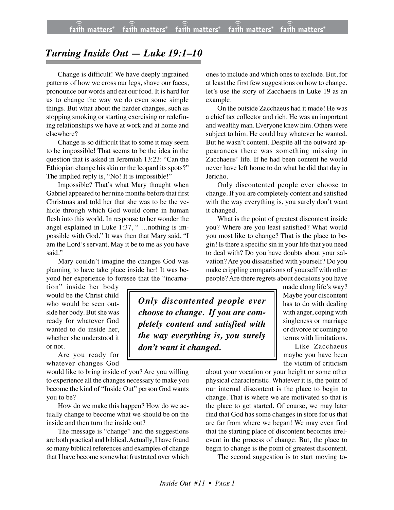## *Turning Inside Out — Luke 19:1–10*

Change is difficult! We have deeply ingrained patterns of how we cross our legs, shave our faces, pronounce our words and eat our food. It is hard for us to change the way we do even some simple things. But what about the harder changes, such as stopping smoking or starting exercising or redefining relationships we have at work and at home and elsewhere?

Change is so difficult that to some it may seem to be impossible! That seems to be the idea in the question that is asked in Jeremiah 13:23: "Can the Ethiopian change his skin or the leopard its spots?" The implied reply is, "No! It is impossible!"

Impossible? That's what Mary thought when Gabriel appeared to her nine months before that first Christmas and told her that she was to be the vehicle through which God would come in human flesh into this world. In response to her wonder the angel explained in Luke 1:37, " ...nothing is impossible with God." It was then that Mary said, "I am the Lord's servant. May it be to me as you have said."

Mary couldn't imagine the changes God was planning to have take place inside her! It was beyond her experience to foresee that the "incarna-

tion" inside her body would be the Christ child who would be seen outside her body. But she was ready for whatever God wanted to do inside her, whether she understood it or not.

Are you ready for whatever changes God

would like to bring inside of you? Are you willing to experience all the changes necessary to make you become the kind of "Inside Out" person God wants you to be?

How do we make this happen? How do we actually change to become what we should be on the inside and then turn the inside out?

The message is "change" and the suggestions are both practical and biblical. Actually, I have found so many biblical references and examples of change that I have become somewhat frustrated over which

ones to include and which ones to exclude. But, for at least the first few suggestions on how to change, let's use the story of Zacchaeus in Luke 19 as an example.

On the outside Zacchaeus had it made! He was a chief tax collector and rich. He was an important and wealthy man. Everyone knew him. Others were subject to him. He could buy whatever he wanted. But he wasn't content. Despite all the outward appearances there was something missing in Zacchaeus' life. If he had been content he would never have left home to do what he did that day in Jericho.

Only discontented people ever choose to change. If you are completely content and satisfied with the way everything is, you surely don't want it changed.

What is the point of greatest discontent inside you? Where are you least satisfied? What would you most like to change? That is the place to begin! Is there a specific sin in your life that you need to deal with? Do you have doubts about your salvation? Are you dissatisfied with yourself? Do you make crippling comparisons of yourself with other people? Are there regrets about decisions you have

*Only discontented people ever choose to change. If you are completely content and satisfied with the way everything is, you surely don't want it changed.*

made along life's way? Maybe your discontent has to do with dealing with anger, coping with singleness or marriage or divorce or coming to terms with limitations.

Like Zacchaeus maybe you have been the victim of criticism

about your vocation or your height or some other physical characteristic. Whatever it is, the point of our internal discontent is the place to begin to change. That is where we are motivated so that is the place to get started. Of course, we may later find that God has some changes in store for us that are far from where we began! We may even find that the starting place of discontent becomes irrelevant in the process of change. But, the place to begin to change is the point of greatest discontent.

The second suggestion is to start moving to-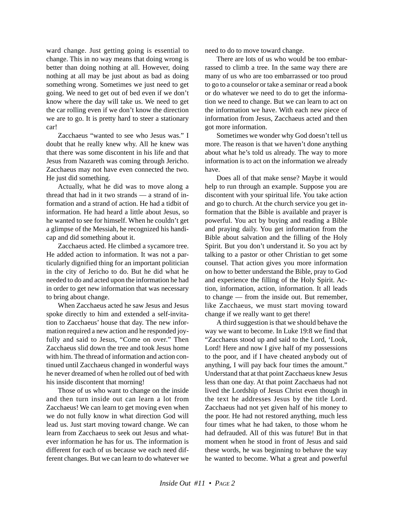ward change. Just getting going is essential to change. This in no way means that doing wrong is better than doing nothing at all. However, doing nothing at all may be just about as bad as doing something wrong. Sometimes we just need to get going. We need to get out of bed even if we don't know where the day will take us. We need to get the car rolling even if we don't know the direction we are to go. It is pretty hard to steer a stationary car!

Zacchaeus "wanted to see who Jesus was." I doubt that he really knew why. All he knew was that there was some discontent in his life and that Jesus from Nazareth was coming through Jericho. Zacchaeus may not have even connected the two. He just did something.

Actually, what he did was to move along a thread that had in it two strands — a strand of information and a strand of action. He had a tidbit of information. He had heard a little about Jesus, so he wanted to see for himself. When he couldn't get a glimpse of the Messiah, he recognized his handicap and did something about it.

Zacchaeus acted. He climbed a sycamore tree. He added action to information. It was not a particularly dignified thing for an important politician in the city of Jericho to do. But he did what he needed to do and acted upon the information he had in order to get new information that was necessary to bring about change.

When Zacchaeus acted he saw Jesus and Jesus spoke directly to him and extended a self-invitation to Zacchaeus' house that day. The new information required a new action and he responded joyfully and said to Jesus, "Come on over." Then Zacchaeus slid down the tree and took Jesus home with him. The thread of information and action continued until Zacchaeus changed in wonderful ways he never dreamed of when he rolled out of bed with his inside discontent that morning!

Those of us who want to change on the inside and then turn inside out can learn a lot from Zacchaeus! We can learn to get moving even when we do not fully know in what direction God will lead us. Just start moving toward change. We can learn from Zacchaeus to seek out Jesus and whatever information he has for us. The information is different for each of us because we each need different changes. But we can learn to do whatever we need to do to move toward change.

There are lots of us who would be too embarrassed to climb a tree. In the same way there are many of us who are too embarrassed or too proud to go to a counselor or take a seminar or read a book or do whatever we need to do to get the information we need to change. But we can learn to act on the information we have. With each new piece of information from Jesus, Zacchaeus acted and then got more information.

Sometimes we wonder why God doesn't tell us more. The reason is that we haven't done anything about what he's told us already. The way to more information is to act on the information we already have.

Does all of that make sense? Maybe it would help to run through an example. Suppose you are discontent with your spiritual life. You take action and go to church. At the church service you get information that the Bible is available and prayer is powerful. You act by buying and reading a Bible and praying daily. You get information from the Bible about salvation and the filling of the Holy Spirit. But you don't understand it. So you act by talking to a pastor or other Christian to get some counsel. That action gives you more information on how to better understand the Bible, pray to God and experience the filling of the Holy Spirit. Action, information, action, information. It all leads to change — from the inside out. But remember, like Zacchaeus, we must start moving toward change if we really want to get there!

A third suggestion is that we should behave the way we want to become. In Luke 19:8 we find that "Zacchaeus stood up and said to the Lord, 'Look, Lord! Here and now I give half of my possessions to the poor, and if I have cheated anybody out of anything, I will pay back four times the amount." Understand that at that point Zacchaeus knew Jesus less than one day. At that point Zacchaeus had not lived the Lordship of Jesus Christ even though in the text he addresses Jesus by the title Lord. Zacchaeus had not yet given half of his money to the poor. He had not restored anything, much less four times what he had taken, to those whom he had defrauded. All of this was future! But in that moment when he stood in front of Jesus and said these words, he was beginning to behave the way he wanted to become. What a great and powerful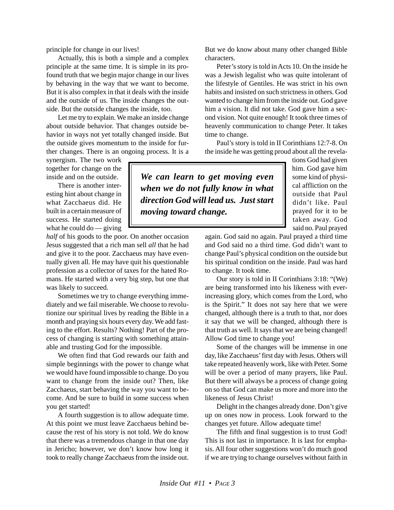principle for change in our lives!

Actually, this is both a simple and a complex principle at the same time. It is simple in its profound truth that we begin major change in our lives by behaving in the way that we want to become. But it is also complex in that it deals with the inside and the outside of us. The inside changes the outside. But the outside changes the inside, too.

Let me try to explain. We make an inside change about outside behavior. That changes outside behavior in ways not yet totally changed inside. But the outside gives momentum to the inside for further changes. There is an ongoing process. It is a

synergism. The two work together for change on the inside and on the outside.

There is another interesting hint about change in what Zacchaeus did. He built in a certain measure of success. He started doing what he could do — giving

*half* of his goods to the poor. On another occasion Jesus suggested that a rich man sell *all* that he had and give it to the poor. Zacchaeus may have eventually given all. He may have quit his questionable profession as a collector of taxes for the hated Romans. He started with a very big step, but one that was likely to succeed.

Sometimes we try to change everything immediately and we fail miserable. We choose to revolutionize our spiritual lives by reading the Bible in a month and praying six hours every day. We add fasting to the effort. Results? Nothing! Part of the process of changing is starting with something attainable and trusting God for the impossible.

We often find that God rewards our faith and simple beginnings with the power to change what we would have found impossible to change. Do you want to change from the inside out? Then, like Zacchaeus, start behaving the way you want to become. And be sure to build in some success when you get started!

A fourth suggestion is to allow adequate time. At this point we must leave Zacchaeus behind because the rest of his story is not told. We do know that there was a tremendous change in that one day in Jericho; however, we don't know how long it took to really change Zacchaeus from the inside out.

But we do know about many other changed Bible characters.

Peter's story is told in Acts 10. On the inside he was a Jewish legalist who was quite intolerant of the lifestyle of Gentiles. He was strict in his own habits and insisted on such strictness in others. God wanted to change him from the inside out. God gave him a vision. It did not take. God gave him a second vision. Not quite enough! It took three times of heavenly communication to change Peter. It takes time to change.

Paul's story is told in II Corinthians 12:7-8. On the inside he was getting proud about all the revela-

*We can learn to get moving even when we do not fully know in what direction God will lead us. Just start moving toward change.*

tions God had given him. God gave him some kind of physical affliction on the outside that Paul didn't like. Paul prayed for it to be taken away. God said no. Paul prayed

again. God said no again. Paul prayed a third time and God said no a third time. God didn't want to change Paul's physical condition on the outside but his spiritual condition on the inside. Paul was hard to change. It took time.

Our story is told in II Corinthians 3:18: "(We) are being transformed into his likeness with everincreasing glory, which comes from the Lord, who is the Spirit." It does not say here that we were changed, although there is a truth to that, nor does it say that we will be changed, although there is that truth as well. It says that we are being changed! Allow God time to change you!

Some of the changes will be immense in one day, like Zacchaeus' first day with Jesus. Others will take repeated heavenly work, like with Peter. Some will be over a period of many prayers, like Paul. But there will always be a process of change going on so that God can make us more and more into the likeness of Jesus Christ!

Delight in the changes already done. Don't give up on ones now in process. Look forward to the changes yet future. Allow adequate time!

The fifth and final suggestion is to trust God! This is not last in importance. It is last for emphasis. All four other suggestions won't do much good if we are trying to change ourselves without faith in